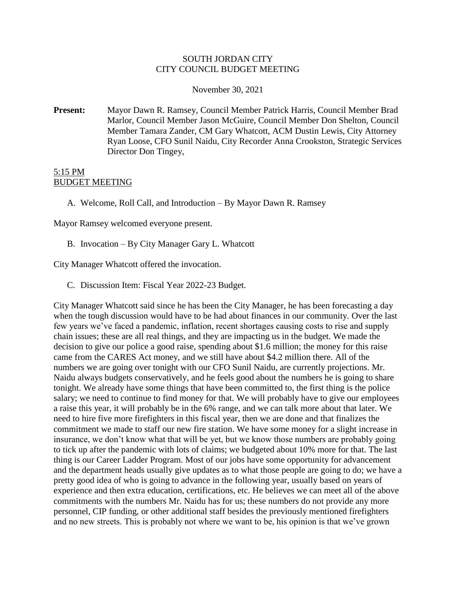## SOUTH JORDAN CITY CITY COUNCIL BUDGET MEETING

November 30, 2021

**Present:** Mayor Dawn R. Ramsey, Council Member Patrick Harris, Council Member Brad Marlor, Council Member Jason McGuire, Council Member Don Shelton, Council Member Tamara Zander, CM Gary Whatcott, ACM Dustin Lewis, City Attorney Ryan Loose, CFO Sunil Naidu, City Recorder Anna Crookston, Strategic Services Director Don Tingey,

## 5:15 PM BUDGET MEETING

A. Welcome, Roll Call, and Introduction – By Mayor Dawn R. Ramsey

Mayor Ramsey welcomed everyone present.

B. Invocation – By City Manager Gary L. Whatcott

City Manager Whatcott offered the invocation.

C. Discussion Item: Fiscal Year 2022-23 Budget.

City Manager Whatcott said since he has been the City Manager, he has been forecasting a day when the tough discussion would have to be had about finances in our community. Over the last few years we've faced a pandemic, inflation, recent shortages causing costs to rise and supply chain issues; these are all real things, and they are impacting us in the budget. We made the decision to give our police a good raise, spending about \$1.6 million; the money for this raise came from the CARES Act money, and we still have about \$4.2 million there. All of the numbers we are going over tonight with our CFO Sunil Naidu, are currently projections. Mr. Naidu always budgets conservatively, and he feels good about the numbers he is going to share tonight. We already have some things that have been committed to, the first thing is the police salary; we need to continue to find money for that. We will probably have to give our employees a raise this year, it will probably be in the 6% range, and we can talk more about that later. We need to hire five more firefighters in this fiscal year, then we are done and that finalizes the commitment we made to staff our new fire station. We have some money for a slight increase in insurance, we don't know what that will be yet, but we know those numbers are probably going to tick up after the pandemic with lots of claims; we budgeted about 10% more for that. The last thing is our Career Ladder Program. Most of our jobs have some opportunity for advancement and the department heads usually give updates as to what those people are going to do; we have a pretty good idea of who is going to advance in the following year, usually based on years of experience and then extra education, certifications, etc. He believes we can meet all of the above commitments with the numbers Mr. Naidu has for us; these numbers do not provide any more personnel, CIP funding, or other additional staff besides the previously mentioned firefighters and no new streets. This is probably not where we want to be, his opinion is that we've grown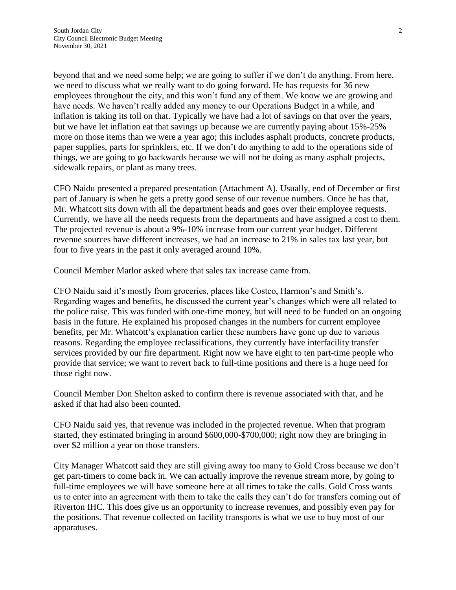beyond that and we need some help; we are going to suffer if we don't do anything. From here, we need to discuss what we really want to do going forward. He has requests for 36 new employees throughout the city, and this won't fund any of them. We know we are growing and have needs. We haven't really added any money to our Operations Budget in a while, and inflation is taking its toll on that. Typically we have had a lot of savings on that over the years, but we have let inflation eat that savings up because we are currently paying about 15%-25% more on those items than we were a year ago; this includes asphalt products, concrete products, paper supplies, parts for sprinklers, etc. If we don't do anything to add to the operations side of things, we are going to go backwards because we will not be doing as many asphalt projects, sidewalk repairs, or plant as many trees.

CFO Naidu presented a prepared presentation (Attachment A). Usually, end of December or first part of January is when he gets a pretty good sense of our revenue numbers. Once he has that, Mr. Whatcott sits down with all the department heads and goes over their employee requests. Currently, we have all the needs requests from the departments and have assigned a cost to them. The projected revenue is about a 9%-10% increase from our current year budget. Different revenue sources have different increases, we had an increase to 21% in sales tax last year, but four to five years in the past it only averaged around 10%.

Council Member Marlor asked where that sales tax increase came from.

CFO Naidu said it's mostly from groceries, places like Costco, Harmon's and Smith's. Regarding wages and benefits, he discussed the current year's changes which were all related to the police raise. This was funded with one-time money, but will need to be funded on an ongoing basis in the future. He explained his proposed changes in the numbers for current employee benefits, per Mr. Whatcott's explanation earlier these numbers have gone up due to various reasons. Regarding the employee reclassifications, they currently have interfacility transfer services provided by our fire department. Right now we have eight to ten part-time people who provide that service; we want to revert back to full-time positions and there is a huge need for those right now.

Council Member Don Shelton asked to confirm there is revenue associated with that, and he asked if that had also been counted.

CFO Naidu said yes, that revenue was included in the projected revenue. When that program started, they estimated bringing in around \$600,000-\$700,000; right now they are bringing in over \$2 million a year on those transfers.

City Manager Whatcott said they are still giving away too many to Gold Cross because we don't get part-timers to come back in. We can actually improve the revenue stream more, by going to full-time employees we will have someone here at all times to take the calls. Gold Cross wants us to enter into an agreement with them to take the calls they can't do for transfers coming out of Riverton IHC. This does give us an opportunity to increase revenues, and possibly even pay for the positions. That revenue collected on facility transports is what we use to buy most of our apparatuses.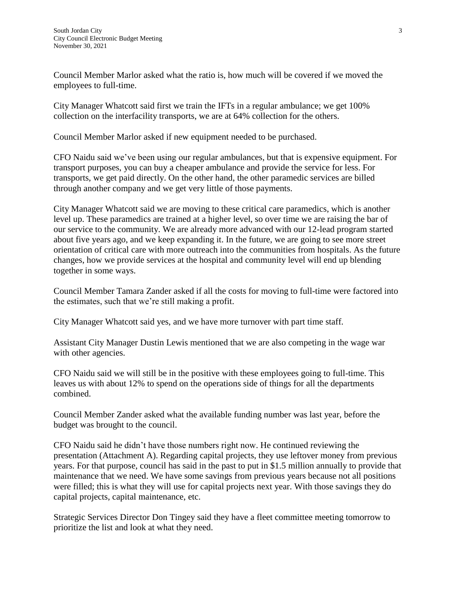Council Member Marlor asked what the ratio is, how much will be covered if we moved the employees to full-time.

City Manager Whatcott said first we train the IFTs in a regular ambulance; we get 100% collection on the interfacility transports, we are at 64% collection for the others.

Council Member Marlor asked if new equipment needed to be purchased.

CFO Naidu said we've been using our regular ambulances, but that is expensive equipment. For transport purposes, you can buy a cheaper ambulance and provide the service for less. For transports, we get paid directly. On the other hand, the other paramedic services are billed through another company and we get very little of those payments.

City Manager Whatcott said we are moving to these critical care paramedics, which is another level up. These paramedics are trained at a higher level, so over time we are raising the bar of our service to the community. We are already more advanced with our 12-lead program started about five years ago, and we keep expanding it. In the future, we are going to see more street orientation of critical care with more outreach into the communities from hospitals. As the future changes, how we provide services at the hospital and community level will end up blending together in some ways.

Council Member Tamara Zander asked if all the costs for moving to full-time were factored into the estimates, such that we're still making a profit.

City Manager Whatcott said yes, and we have more turnover with part time staff.

Assistant City Manager Dustin Lewis mentioned that we are also competing in the wage war with other agencies.

CFO Naidu said we will still be in the positive with these employees going to full-time. This leaves us with about 12% to spend on the operations side of things for all the departments combined.

Council Member Zander asked what the available funding number was last year, before the budget was brought to the council.

CFO Naidu said he didn't have those numbers right now. He continued reviewing the presentation (Attachment A). Regarding capital projects, they use leftover money from previous years. For that purpose, council has said in the past to put in \$1.5 million annually to provide that maintenance that we need. We have some savings from previous years because not all positions were filled; this is what they will use for capital projects next year. With those savings they do capital projects, capital maintenance, etc.

Strategic Services Director Don Tingey said they have a fleet committee meeting tomorrow to prioritize the list and look at what they need.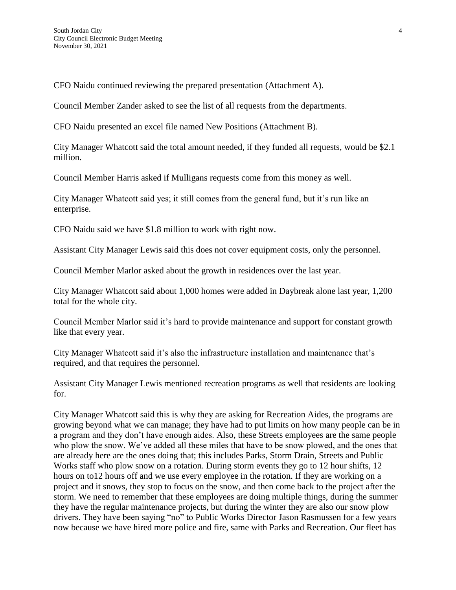CFO Naidu continued reviewing the prepared presentation (Attachment A).

Council Member Zander asked to see the list of all requests from the departments.

CFO Naidu presented an excel file named New Positions (Attachment B).

City Manager Whatcott said the total amount needed, if they funded all requests, would be \$2.1 million.

Council Member Harris asked if Mulligans requests come from this money as well.

City Manager Whatcott said yes; it still comes from the general fund, but it's run like an enterprise.

CFO Naidu said we have \$1.8 million to work with right now.

Assistant City Manager Lewis said this does not cover equipment costs, only the personnel.

Council Member Marlor asked about the growth in residences over the last year.

City Manager Whatcott said about 1,000 homes were added in Daybreak alone last year, 1,200 total for the whole city.

Council Member Marlor said it's hard to provide maintenance and support for constant growth like that every year.

City Manager Whatcott said it's also the infrastructure installation and maintenance that's required, and that requires the personnel.

Assistant City Manager Lewis mentioned recreation programs as well that residents are looking for.

City Manager Whatcott said this is why they are asking for Recreation Aides, the programs are growing beyond what we can manage; they have had to put limits on how many people can be in a program and they don't have enough aides. Also, these Streets employees are the same people who plow the snow. We've added all these miles that have to be snow plowed, and the ones that are already here are the ones doing that; this includes Parks, Storm Drain, Streets and Public Works staff who plow snow on a rotation. During storm events they go to 12 hour shifts, 12 hours on to12 hours off and we use every employee in the rotation. If they are working on a project and it snows, they stop to focus on the snow, and then come back to the project after the storm. We need to remember that these employees are doing multiple things, during the summer they have the regular maintenance projects, but during the winter they are also our snow plow drivers. They have been saying "no" to Public Works Director Jason Rasmussen for a few years now because we have hired more police and fire, same with Parks and Recreation. Our fleet has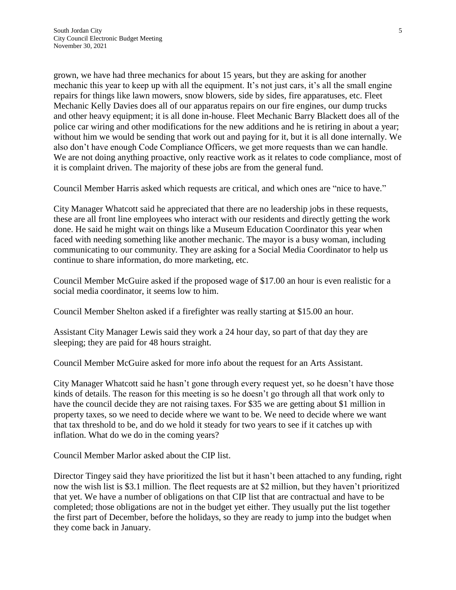grown, we have had three mechanics for about 15 years, but they are asking for another mechanic this year to keep up with all the equipment. It's not just cars, it's all the small engine repairs for things like lawn mowers, snow blowers, side by sides, fire apparatuses, etc. Fleet Mechanic Kelly Davies does all of our apparatus repairs on our fire engines, our dump trucks and other heavy equipment; it is all done in-house. Fleet Mechanic Barry Blackett does all of the police car wiring and other modifications for the new additions and he is retiring in about a year; without him we would be sending that work out and paying for it, but it is all done internally. We also don't have enough Code Compliance Officers, we get more requests than we can handle. We are not doing anything proactive, only reactive work as it relates to code compliance, most of it is complaint driven. The majority of these jobs are from the general fund.

Council Member Harris asked which requests are critical, and which ones are "nice to have."

City Manager Whatcott said he appreciated that there are no leadership jobs in these requests, these are all front line employees who interact with our residents and directly getting the work done. He said he might wait on things like a Museum Education Coordinator this year when faced with needing something like another mechanic. The mayor is a busy woman, including communicating to our community. They are asking for a Social Media Coordinator to help us continue to share information, do more marketing, etc.

Council Member McGuire asked if the proposed wage of \$17.00 an hour is even realistic for a social media coordinator, it seems low to him.

Council Member Shelton asked if a firefighter was really starting at \$15.00 an hour.

Assistant City Manager Lewis said they work a 24 hour day, so part of that day they are sleeping; they are paid for 48 hours straight.

Council Member McGuire asked for more info about the request for an Arts Assistant.

City Manager Whatcott said he hasn't gone through every request yet, so he doesn't have those kinds of details. The reason for this meeting is so he doesn't go through all that work only to have the council decide they are not raising taxes. For \$35 we are getting about \$1 million in property taxes, so we need to decide where we want to be. We need to decide where we want that tax threshold to be, and do we hold it steady for two years to see if it catches up with inflation. What do we do in the coming years?

Council Member Marlor asked about the CIP list.

Director Tingey said they have prioritized the list but it hasn't been attached to any funding, right now the wish list is \$3.1 million. The fleet requests are at \$2 million, but they haven't prioritized that yet. We have a number of obligations on that CIP list that are contractual and have to be completed; those obligations are not in the budget yet either. They usually put the list together the first part of December, before the holidays, so they are ready to jump into the budget when they come back in January.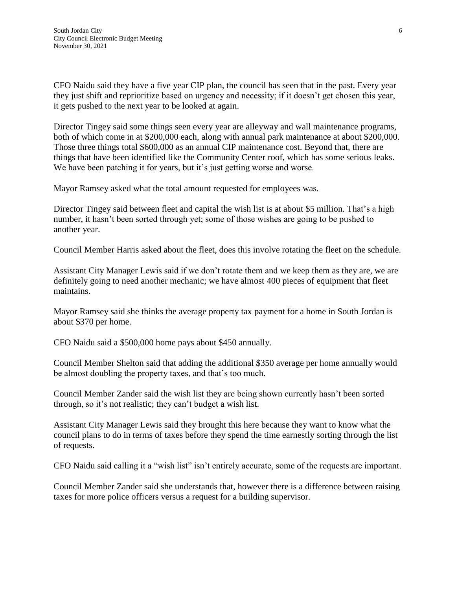CFO Naidu said they have a five year CIP plan, the council has seen that in the past. Every year they just shift and reprioritize based on urgency and necessity; if it doesn't get chosen this year, it gets pushed to the next year to be looked at again.

Director Tingey said some things seen every year are alleyway and wall maintenance programs, both of which come in at \$200,000 each, along with annual park maintenance at about \$200,000. Those three things total \$600,000 as an annual CIP maintenance cost. Beyond that, there are things that have been identified like the Community Center roof, which has some serious leaks. We have been patching it for years, but it's just getting worse and worse.

Mayor Ramsey asked what the total amount requested for employees was.

Director Tingey said between fleet and capital the wish list is at about \$5 million. That's a high number, it hasn't been sorted through yet; some of those wishes are going to be pushed to another year.

Council Member Harris asked about the fleet, does this involve rotating the fleet on the schedule.

Assistant City Manager Lewis said if we don't rotate them and we keep them as they are, we are definitely going to need another mechanic; we have almost 400 pieces of equipment that fleet maintains.

Mayor Ramsey said she thinks the average property tax payment for a home in South Jordan is about \$370 per home.

CFO Naidu said a \$500,000 home pays about \$450 annually.

Council Member Shelton said that adding the additional \$350 average per home annually would be almost doubling the property taxes, and that's too much.

Council Member Zander said the wish list they are being shown currently hasn't been sorted through, so it's not realistic; they can't budget a wish list.

Assistant City Manager Lewis said they brought this here because they want to know what the council plans to do in terms of taxes before they spend the time earnestly sorting through the list of requests.

CFO Naidu said calling it a "wish list" isn't entirely accurate, some of the requests are important.

Council Member Zander said she understands that, however there is a difference between raising taxes for more police officers versus a request for a building supervisor.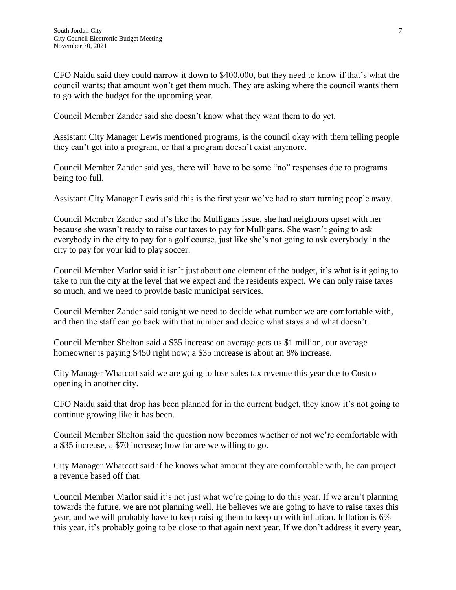CFO Naidu said they could narrow it down to \$400,000, but they need to know if that's what the council wants; that amount won't get them much. They are asking where the council wants them to go with the budget for the upcoming year.

Council Member Zander said she doesn't know what they want them to do yet.

Assistant City Manager Lewis mentioned programs, is the council okay with them telling people they can't get into a program, or that a program doesn't exist anymore.

Council Member Zander said yes, there will have to be some "no" responses due to programs being too full.

Assistant City Manager Lewis said this is the first year we've had to start turning people away.

Council Member Zander said it's like the Mulligans issue, she had neighbors upset with her because she wasn't ready to raise our taxes to pay for Mulligans. She wasn't going to ask everybody in the city to pay for a golf course, just like she's not going to ask everybody in the city to pay for your kid to play soccer.

Council Member Marlor said it isn't just about one element of the budget, it's what is it going to take to run the city at the level that we expect and the residents expect. We can only raise taxes so much, and we need to provide basic municipal services.

Council Member Zander said tonight we need to decide what number we are comfortable with, and then the staff can go back with that number and decide what stays and what doesn't.

Council Member Shelton said a \$35 increase on average gets us \$1 million, our average homeowner is paying \$450 right now; a \$35 increase is about an 8% increase.

City Manager Whatcott said we are going to lose sales tax revenue this year due to Costco opening in another city.

CFO Naidu said that drop has been planned for in the current budget, they know it's not going to continue growing like it has been.

Council Member Shelton said the question now becomes whether or not we're comfortable with a \$35 increase, a \$70 increase; how far are we willing to go.

City Manager Whatcott said if he knows what amount they are comfortable with, he can project a revenue based off that.

Council Member Marlor said it's not just what we're going to do this year. If we aren't planning towards the future, we are not planning well. He believes we are going to have to raise taxes this year, and we will probably have to keep raising them to keep up with inflation. Inflation is 6% this year, it's probably going to be close to that again next year. If we don't address it every year,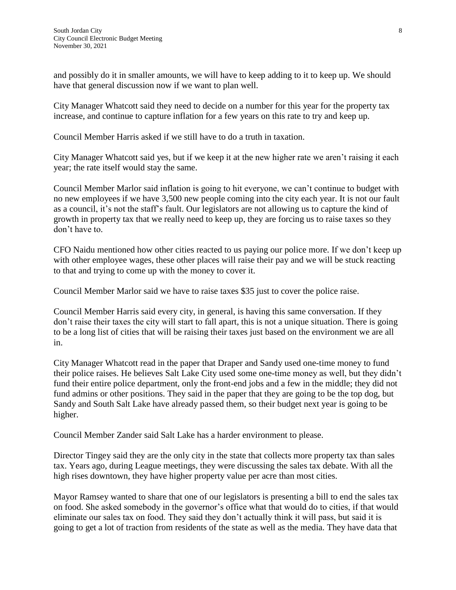and possibly do it in smaller amounts, we will have to keep adding to it to keep up. We should have that general discussion now if we want to plan well.

City Manager Whatcott said they need to decide on a number for this year for the property tax increase, and continue to capture inflation for a few years on this rate to try and keep up.

Council Member Harris asked if we still have to do a truth in taxation.

City Manager Whatcott said yes, but if we keep it at the new higher rate we aren't raising it each year; the rate itself would stay the same.

Council Member Marlor said inflation is going to hit everyone, we can't continue to budget with no new employees if we have 3,500 new people coming into the city each year. It is not our fault as a council, it's not the staff's fault. Our legislators are not allowing us to capture the kind of growth in property tax that we really need to keep up, they are forcing us to raise taxes so they don't have to.

CFO Naidu mentioned how other cities reacted to us paying our police more. If we don't keep up with other employee wages, these other places will raise their pay and we will be stuck reacting to that and trying to come up with the money to cover it.

Council Member Marlor said we have to raise taxes \$35 just to cover the police raise.

Council Member Harris said every city, in general, is having this same conversation. If they don't raise their taxes the city will start to fall apart, this is not a unique situation. There is going to be a long list of cities that will be raising their taxes just based on the environment we are all in.

City Manager Whatcott read in the paper that Draper and Sandy used one-time money to fund their police raises. He believes Salt Lake City used some one-time money as well, but they didn't fund their entire police department, only the front-end jobs and a few in the middle; they did not fund admins or other positions. They said in the paper that they are going to be the top dog, but Sandy and South Salt Lake have already passed them, so their budget next year is going to be higher.

Council Member Zander said Salt Lake has a harder environment to please.

Director Tingey said they are the only city in the state that collects more property tax than sales tax. Years ago, during League meetings, they were discussing the sales tax debate. With all the high rises downtown, they have higher property value per acre than most cities.

Mayor Ramsey wanted to share that one of our legislators is presenting a bill to end the sales tax on food. She asked somebody in the governor's office what that would do to cities, if that would eliminate our sales tax on food. They said they don't actually think it will pass, but said it is going to get a lot of traction from residents of the state as well as the media. They have data that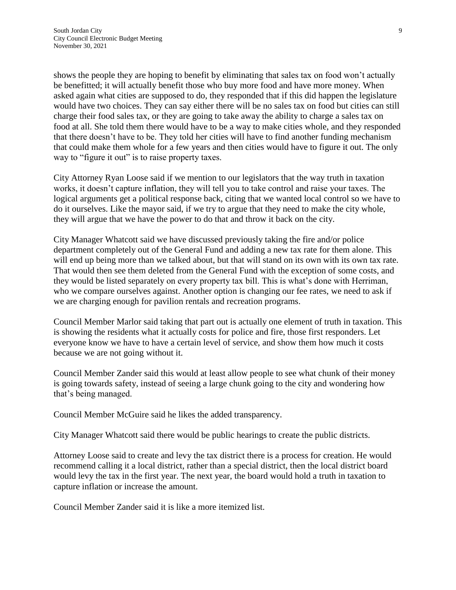shows the people they are hoping to benefit by eliminating that sales tax on food won't actually be benefitted; it will actually benefit those who buy more food and have more money. When asked again what cities are supposed to do, they responded that if this did happen the legislature would have two choices. They can say either there will be no sales tax on food but cities can still charge their food sales tax, or they are going to take away the ability to charge a sales tax on food at all. She told them there would have to be a way to make cities whole, and they responded that there doesn't have to be. They told her cities will have to find another funding mechanism that could make them whole for a few years and then cities would have to figure it out. The only way to "figure it out" is to raise property taxes.

City Attorney Ryan Loose said if we mention to our legislators that the way truth in taxation works, it doesn't capture inflation, they will tell you to take control and raise your taxes. The logical arguments get a political response back, citing that we wanted local control so we have to do it ourselves. Like the mayor said, if we try to argue that they need to make the city whole, they will argue that we have the power to do that and throw it back on the city.

City Manager Whatcott said we have discussed previously taking the fire and/or police department completely out of the General Fund and adding a new tax rate for them alone. This will end up being more than we talked about, but that will stand on its own with its own tax rate. That would then see them deleted from the General Fund with the exception of some costs, and they would be listed separately on every property tax bill. This is what's done with Herriman, who we compare ourselves against. Another option is changing our fee rates, we need to ask if we are charging enough for pavilion rentals and recreation programs.

Council Member Marlor said taking that part out is actually one element of truth in taxation. This is showing the residents what it actually costs for police and fire, those first responders. Let everyone know we have to have a certain level of service, and show them how much it costs because we are not going without it.

Council Member Zander said this would at least allow people to see what chunk of their money is going towards safety, instead of seeing a large chunk going to the city and wondering how that's being managed.

Council Member McGuire said he likes the added transparency.

City Manager Whatcott said there would be public hearings to create the public districts.

Attorney Loose said to create and levy the tax district there is a process for creation. He would recommend calling it a local district, rather than a special district, then the local district board would levy the tax in the first year. The next year, the board would hold a truth in taxation to capture inflation or increase the amount.

Council Member Zander said it is like a more itemized list.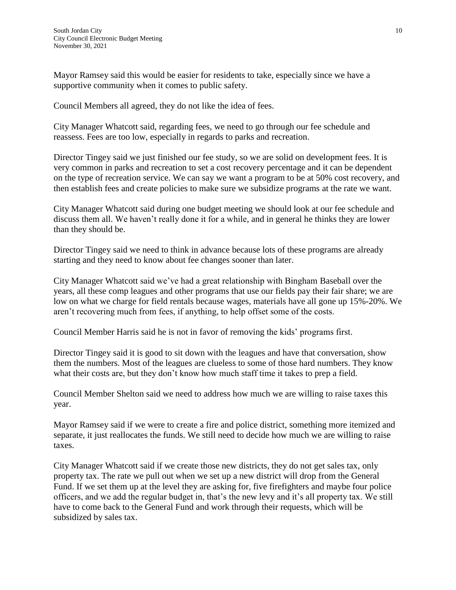Mayor Ramsey said this would be easier for residents to take, especially since we have a supportive community when it comes to public safety.

Council Members all agreed, they do not like the idea of fees.

City Manager Whatcott said, regarding fees, we need to go through our fee schedule and reassess. Fees are too low, especially in regards to parks and recreation.

Director Tingey said we just finished our fee study, so we are solid on development fees. It is very common in parks and recreation to set a cost recovery percentage and it can be dependent on the type of recreation service. We can say we want a program to be at 50% cost recovery, and then establish fees and create policies to make sure we subsidize programs at the rate we want.

City Manager Whatcott said during one budget meeting we should look at our fee schedule and discuss them all. We haven't really done it for a while, and in general he thinks they are lower than they should be.

Director Tingey said we need to think in advance because lots of these programs are already starting and they need to know about fee changes sooner than later.

City Manager Whatcott said we've had a great relationship with Bingham Baseball over the years, all these comp leagues and other programs that use our fields pay their fair share; we are low on what we charge for field rentals because wages, materials have all gone up 15%-20%. We aren't recovering much from fees, if anything, to help offset some of the costs.

Council Member Harris said he is not in favor of removing the kids' programs first.

Director Tingey said it is good to sit down with the leagues and have that conversation, show them the numbers. Most of the leagues are clueless to some of those hard numbers. They know what their costs are, but they don't know how much staff time it takes to prep a field.

Council Member Shelton said we need to address how much we are willing to raise taxes this year.

Mayor Ramsey said if we were to create a fire and police district, something more itemized and separate, it just reallocates the funds. We still need to decide how much we are willing to raise taxes.

City Manager Whatcott said if we create those new districts, they do not get sales tax, only property tax. The rate we pull out when we set up a new district will drop from the General Fund. If we set them up at the level they are asking for, five firefighters and maybe four police officers, and we add the regular budget in, that's the new levy and it's all property tax. We still have to come back to the General Fund and work through their requests, which will be subsidized by sales tax.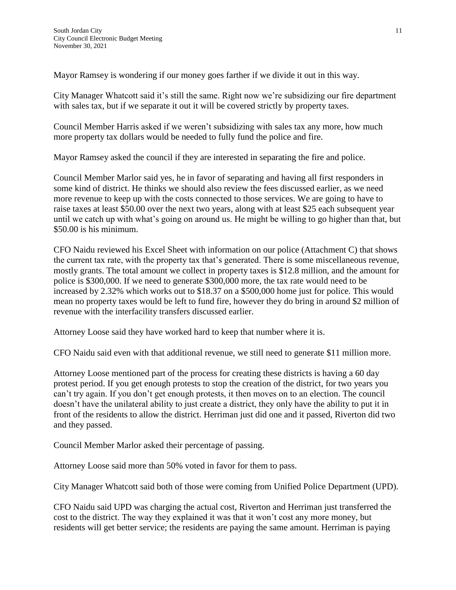Mayor Ramsey is wondering if our money goes farther if we divide it out in this way.

City Manager Whatcott said it's still the same. Right now we're subsidizing our fire department with sales tax, but if we separate it out it will be covered strictly by property taxes.

Council Member Harris asked if we weren't subsidizing with sales tax any more, how much more property tax dollars would be needed to fully fund the police and fire.

Mayor Ramsey asked the council if they are interested in separating the fire and police.

Council Member Marlor said yes, he in favor of separating and having all first responders in some kind of district. He thinks we should also review the fees discussed earlier, as we need more revenue to keep up with the costs connected to those services. We are going to have to raise taxes at least \$50.00 over the next two years, along with at least \$25 each subsequent year until we catch up with what's going on around us. He might be willing to go higher than that, but \$50.00 is his minimum.

CFO Naidu reviewed his Excel Sheet with information on our police (Attachment C) that shows the current tax rate, with the property tax that's generated. There is some miscellaneous revenue, mostly grants. The total amount we collect in property taxes is \$12.8 million, and the amount for police is \$300,000. If we need to generate \$300,000 more, the tax rate would need to be increased by 2.32% which works out to \$18.37 on a \$500,000 home just for police. This would mean no property taxes would be left to fund fire, however they do bring in around \$2 million of revenue with the interfacility transfers discussed earlier.

Attorney Loose said they have worked hard to keep that number where it is.

CFO Naidu said even with that additional revenue, we still need to generate \$11 million more.

Attorney Loose mentioned part of the process for creating these districts is having a 60 day protest period. If you get enough protests to stop the creation of the district, for two years you can't try again. If you don't get enough protests, it then moves on to an election. The council doesn't have the unilateral ability to just create a district, they only have the ability to put it in front of the residents to allow the district. Herriman just did one and it passed, Riverton did two and they passed.

Council Member Marlor asked their percentage of passing.

Attorney Loose said more than 50% voted in favor for them to pass.

City Manager Whatcott said both of those were coming from Unified Police Department (UPD).

CFO Naidu said UPD was charging the actual cost, Riverton and Herriman just transferred the cost to the district. The way they explained it was that it won't cost any more money, but residents will get better service; the residents are paying the same amount. Herriman is paying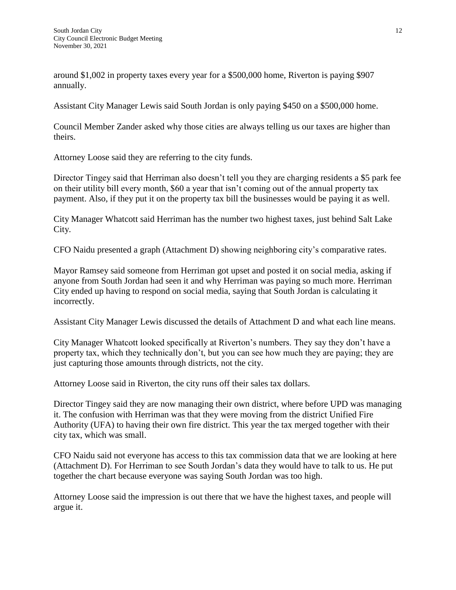around \$1,002 in property taxes every year for a \$500,000 home, Riverton is paying \$907 annually.

Assistant City Manager Lewis said South Jordan is only paying \$450 on a \$500,000 home.

Council Member Zander asked why those cities are always telling us our taxes are higher than theirs.

Attorney Loose said they are referring to the city funds.

Director Tingey said that Herriman also doesn't tell you they are charging residents a \$5 park fee on their utility bill every month, \$60 a year that isn't coming out of the annual property tax payment. Also, if they put it on the property tax bill the businesses would be paying it as well.

City Manager Whatcott said Herriman has the number two highest taxes, just behind Salt Lake City.

CFO Naidu presented a graph (Attachment D) showing neighboring city's comparative rates.

Mayor Ramsey said someone from Herriman got upset and posted it on social media, asking if anyone from South Jordan had seen it and why Herriman was paying so much more. Herriman City ended up having to respond on social media, saying that South Jordan is calculating it incorrectly.

Assistant City Manager Lewis discussed the details of Attachment D and what each line means.

City Manager Whatcott looked specifically at Riverton's numbers. They say they don't have a property tax, which they technically don't, but you can see how much they are paying; they are just capturing those amounts through districts, not the city.

Attorney Loose said in Riverton, the city runs off their sales tax dollars.

Director Tingey said they are now managing their own district, where before UPD was managing it. The confusion with Herriman was that they were moving from the district Unified Fire Authority (UFA) to having their own fire district. This year the tax merged together with their city tax, which was small.

CFO Naidu said not everyone has access to this tax commission data that we are looking at here (Attachment D). For Herriman to see South Jordan's data they would have to talk to us. He put together the chart because everyone was saying South Jordan was too high.

Attorney Loose said the impression is out there that we have the highest taxes, and people will argue it.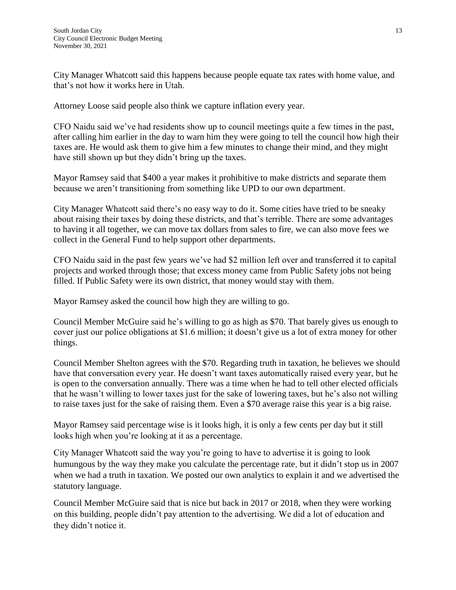City Manager Whatcott said this happens because people equate tax rates with home value, and that's not how it works here in Utah.

Attorney Loose said people also think we capture inflation every year.

CFO Naidu said we've had residents show up to council meetings quite a few times in the past, after calling him earlier in the day to warn him they were going to tell the council how high their taxes are. He would ask them to give him a few minutes to change their mind, and they might have still shown up but they didn't bring up the taxes.

Mayor Ramsey said that \$400 a year makes it prohibitive to make districts and separate them because we aren't transitioning from something like UPD to our own department.

City Manager Whatcott said there's no easy way to do it. Some cities have tried to be sneaky about raising their taxes by doing these districts, and that's terrible. There are some advantages to having it all together, we can move tax dollars from sales to fire, we can also move fees we collect in the General Fund to help support other departments.

CFO Naidu said in the past few years we've had \$2 million left over and transferred it to capital projects and worked through those; that excess money came from Public Safety jobs not being filled. If Public Safety were its own district, that money would stay with them.

Mayor Ramsey asked the council how high they are willing to go.

Council Member McGuire said he's willing to go as high as \$70. That barely gives us enough to cover just our police obligations at \$1.6 million; it doesn't give us a lot of extra money for other things.

Council Member Shelton agrees with the \$70. Regarding truth in taxation, he believes we should have that conversation every year. He doesn't want taxes automatically raised every year, but he is open to the conversation annually. There was a time when he had to tell other elected officials that he wasn't willing to lower taxes just for the sake of lowering taxes, but he's also not willing to raise taxes just for the sake of raising them. Even a \$70 average raise this year is a big raise.

Mayor Ramsey said percentage wise is it looks high, it is only a few cents per day but it still looks high when you're looking at it as a percentage.

City Manager Whatcott said the way you're going to have to advertise it is going to look humungous by the way they make you calculate the percentage rate, but it didn't stop us in 2007 when we had a truth in taxation. We posted our own analytics to explain it and we advertised the statutory language.

Council Member McGuire said that is nice but back in 2017 or 2018, when they were working on this building, people didn't pay attention to the advertising. We did a lot of education and they didn't notice it.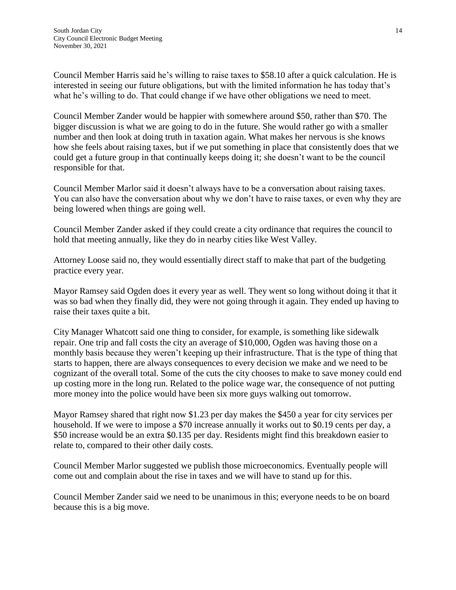Council Member Harris said he's willing to raise taxes to \$58.10 after a quick calculation. He is interested in seeing our future obligations, but with the limited information he has today that's what he's willing to do. That could change if we have other obligations we need to meet.

Council Member Zander would be happier with somewhere around \$50, rather than \$70. The bigger discussion is what we are going to do in the future. She would rather go with a smaller number and then look at doing truth in taxation again. What makes her nervous is she knows how she feels about raising taxes, but if we put something in place that consistently does that we could get a future group in that continually keeps doing it; she doesn't want to be the council responsible for that.

Council Member Marlor said it doesn't always have to be a conversation about raising taxes. You can also have the conversation about why we don't have to raise taxes, or even why they are being lowered when things are going well.

Council Member Zander asked if they could create a city ordinance that requires the council to hold that meeting annually, like they do in nearby cities like West Valley.

Attorney Loose said no, they would essentially direct staff to make that part of the budgeting practice every year.

Mayor Ramsey said Ogden does it every year as well. They went so long without doing it that it was so bad when they finally did, they were not going through it again. They ended up having to raise their taxes quite a bit.

City Manager Whatcott said one thing to consider, for example, is something like sidewalk repair. One trip and fall costs the city an average of \$10,000, Ogden was having those on a monthly basis because they weren't keeping up their infrastructure. That is the type of thing that starts to happen, there are always consequences to every decision we make and we need to be cognizant of the overall total. Some of the cuts the city chooses to make to save money could end up costing more in the long run. Related to the police wage war, the consequence of not putting more money into the police would have been six more guys walking out tomorrow.

Mayor Ramsey shared that right now \$1.23 per day makes the \$450 a year for city services per household. If we were to impose a \$70 increase annually it works out to \$0.19 cents per day, a \$50 increase would be an extra \$0.135 per day. Residents might find this breakdown easier to relate to, compared to their other daily costs.

Council Member Marlor suggested we publish those microeconomics. Eventually people will come out and complain about the rise in taxes and we will have to stand up for this.

Council Member Zander said we need to be unanimous in this; everyone needs to be on board because this is a big move.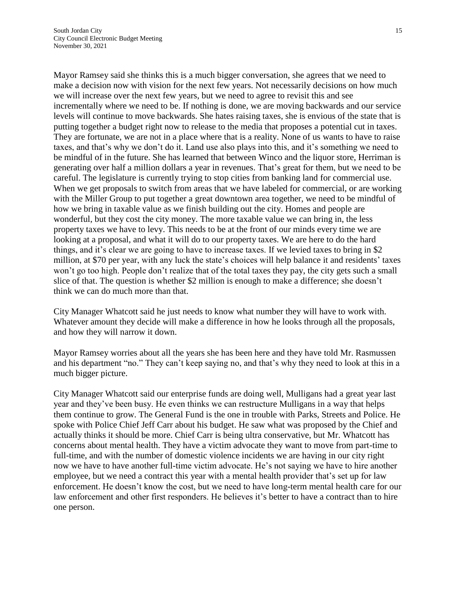Mayor Ramsey said she thinks this is a much bigger conversation, she agrees that we need to make a decision now with vision for the next few years. Not necessarily decisions on how much we will increase over the next few years, but we need to agree to revisit this and see incrementally where we need to be. If nothing is done, we are moving backwards and our service levels will continue to move backwards. She hates raising taxes, she is envious of the state that is putting together a budget right now to release to the media that proposes a potential cut in taxes. They are fortunate, we are not in a place where that is a reality. None of us wants to have to raise taxes, and that's why we don't do it. Land use also plays into this, and it's something we need to be mindful of in the future. She has learned that between Winco and the liquor store, Herriman is generating over half a million dollars a year in revenues. That's great for them, but we need to be careful. The legislature is currently trying to stop cities from banking land for commercial use. When we get proposals to switch from areas that we have labeled for commercial, or are working with the Miller Group to put together a great downtown area together, we need to be mindful of how we bring in taxable value as we finish building out the city. Homes and people are wonderful, but they cost the city money. The more taxable value we can bring in, the less property taxes we have to levy. This needs to be at the front of our minds every time we are looking at a proposal, and what it will do to our property taxes. We are here to do the hard things, and it's clear we are going to have to increase taxes. If we levied taxes to bring in \$2 million, at \$70 per year, with any luck the state's choices will help balance it and residents' taxes won't go too high. People don't realize that of the total taxes they pay, the city gets such a small slice of that. The question is whether \$2 million is enough to make a difference; she doesn't think we can do much more than that.

City Manager Whatcott said he just needs to know what number they will have to work with. Whatever amount they decide will make a difference in how he looks through all the proposals, and how they will narrow it down.

Mayor Ramsey worries about all the years she has been here and they have told Mr. Rasmussen and his department "no." They can't keep saying no, and that's why they need to look at this in a much bigger picture.

City Manager Whatcott said our enterprise funds are doing well, Mulligans had a great year last year and they've been busy. He even thinks we can restructure Mulligans in a way that helps them continue to grow. The General Fund is the one in trouble with Parks, Streets and Police. He spoke with Police Chief Jeff Carr about his budget. He saw what was proposed by the Chief and actually thinks it should be more. Chief Carr is being ultra conservative, but Mr. Whatcott has concerns about mental health. They have a victim advocate they want to move from part-time to full-time, and with the number of domestic violence incidents we are having in our city right now we have to have another full-time victim advocate. He's not saying we have to hire another employee, but we need a contract this year with a mental health provider that's set up for law enforcement. He doesn't know the cost, but we need to have long-term mental health care for our law enforcement and other first responders. He believes it's better to have a contract than to hire one person.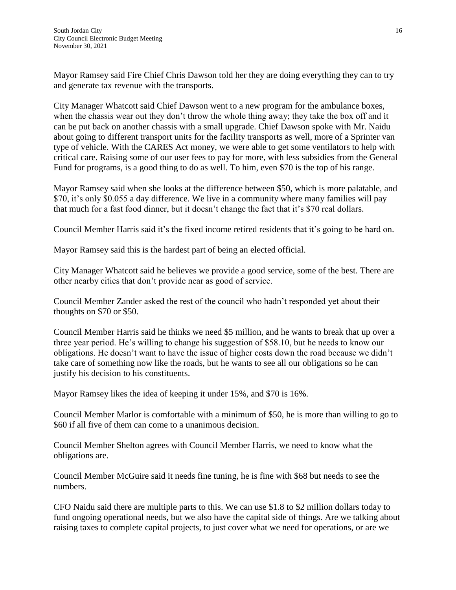Mayor Ramsey said Fire Chief Chris Dawson told her they are doing everything they can to try and generate tax revenue with the transports.

City Manager Whatcott said Chief Dawson went to a new program for the ambulance boxes, when the chassis wear out they don't throw the whole thing away; they take the box off and it can be put back on another chassis with a small upgrade. Chief Dawson spoke with Mr. Naidu about going to different transport units for the facility transports as well, more of a Sprinter van type of vehicle. With the CARES Act money, we were able to get some ventilators to help with critical care. Raising some of our user fees to pay for more, with less subsidies from the General Fund for programs, is a good thing to do as well. To him, even \$70 is the top of his range.

Mayor Ramsey said when she looks at the difference between \$50, which is more palatable, and \$70, it's only \$0.055 a day difference. We live in a community where many families will pay that much for a fast food dinner, but it doesn't change the fact that it's \$70 real dollars.

Council Member Harris said it's the fixed income retired residents that it's going to be hard on.

Mayor Ramsey said this is the hardest part of being an elected official.

City Manager Whatcott said he believes we provide a good service, some of the best. There are other nearby cities that don't provide near as good of service.

Council Member Zander asked the rest of the council who hadn't responded yet about their thoughts on \$70 or \$50.

Council Member Harris said he thinks we need \$5 million, and he wants to break that up over a three year period. He's willing to change his suggestion of \$58.10, but he needs to know our obligations. He doesn't want to have the issue of higher costs down the road because we didn't take care of something now like the roads, but he wants to see all our obligations so he can justify his decision to his constituents.

Mayor Ramsey likes the idea of keeping it under 15%, and \$70 is 16%.

Council Member Marlor is comfortable with a minimum of \$50, he is more than willing to go to \$60 if all five of them can come to a unanimous decision.

Council Member Shelton agrees with Council Member Harris, we need to know what the obligations are.

Council Member McGuire said it needs fine tuning, he is fine with \$68 but needs to see the numbers.

CFO Naidu said there are multiple parts to this. We can use \$1.8 to \$2 million dollars today to fund ongoing operational needs, but we also have the capital side of things. Are we talking about raising taxes to complete capital projects, to just cover what we need for operations, or are we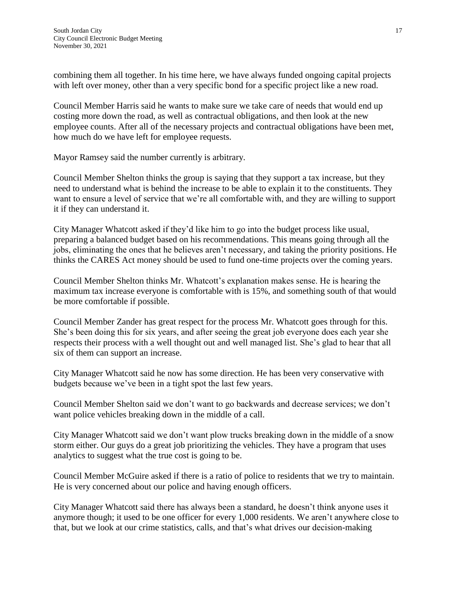combining them all together. In his time here, we have always funded ongoing capital projects with left over money, other than a very specific bond for a specific project like a new road.

Council Member Harris said he wants to make sure we take care of needs that would end up costing more down the road, as well as contractual obligations, and then look at the new employee counts. After all of the necessary projects and contractual obligations have been met, how much do we have left for employee requests.

Mayor Ramsey said the number currently is arbitrary.

Council Member Shelton thinks the group is saying that they support a tax increase, but they need to understand what is behind the increase to be able to explain it to the constituents. They want to ensure a level of service that we're all comfortable with, and they are willing to support it if they can understand it.

City Manager Whatcott asked if they'd like him to go into the budget process like usual, preparing a balanced budget based on his recommendations. This means going through all the jobs, eliminating the ones that he believes aren't necessary, and taking the priority positions. He thinks the CARES Act money should be used to fund one-time projects over the coming years.

Council Member Shelton thinks Mr. Whatcott's explanation makes sense. He is hearing the maximum tax increase everyone is comfortable with is 15%, and something south of that would be more comfortable if possible.

Council Member Zander has great respect for the process Mr. Whatcott goes through for this. She's been doing this for six years, and after seeing the great job everyone does each year she respects their process with a well thought out and well managed list. She's glad to hear that all six of them can support an increase.

City Manager Whatcott said he now has some direction. He has been very conservative with budgets because we've been in a tight spot the last few years.

Council Member Shelton said we don't want to go backwards and decrease services; we don't want police vehicles breaking down in the middle of a call.

City Manager Whatcott said we don't want plow trucks breaking down in the middle of a snow storm either. Our guys do a great job prioritizing the vehicles. They have a program that uses analytics to suggest what the true cost is going to be.

Council Member McGuire asked if there is a ratio of police to residents that we try to maintain. He is very concerned about our police and having enough officers.

City Manager Whatcott said there has always been a standard, he doesn't think anyone uses it anymore though; it used to be one officer for every 1,000 residents. We aren't anywhere close to that, but we look at our crime statistics, calls, and that's what drives our decision-making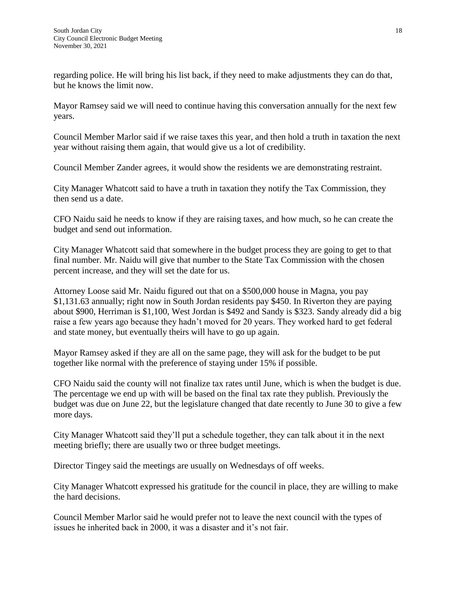regarding police. He will bring his list back, if they need to make adjustments they can do that, but he knows the limit now.

Mayor Ramsey said we will need to continue having this conversation annually for the next few years.

Council Member Marlor said if we raise taxes this year, and then hold a truth in taxation the next year without raising them again, that would give us a lot of credibility.

Council Member Zander agrees, it would show the residents we are demonstrating restraint.

City Manager Whatcott said to have a truth in taxation they notify the Tax Commission, they then send us a date.

CFO Naidu said he needs to know if they are raising taxes, and how much, so he can create the budget and send out information.

City Manager Whatcott said that somewhere in the budget process they are going to get to that final number. Mr. Naidu will give that number to the State Tax Commission with the chosen percent increase, and they will set the date for us.

Attorney Loose said Mr. Naidu figured out that on a \$500,000 house in Magna, you pay \$1,131.63 annually; right now in South Jordan residents pay \$450. In Riverton they are paying about \$900, Herriman is \$1,100, West Jordan is \$492 and Sandy is \$323. Sandy already did a big raise a few years ago because they hadn't moved for 20 years. They worked hard to get federal and state money, but eventually theirs will have to go up again.

Mayor Ramsey asked if they are all on the same page, they will ask for the budget to be put together like normal with the preference of staying under 15% if possible.

CFO Naidu said the county will not finalize tax rates until June, which is when the budget is due. The percentage we end up with will be based on the final tax rate they publish. Previously the budget was due on June 22, but the legislature changed that date recently to June 30 to give a few more days.

City Manager Whatcott said they'll put a schedule together, they can talk about it in the next meeting briefly; there are usually two or three budget meetings.

Director Tingey said the meetings are usually on Wednesdays of off weeks.

City Manager Whatcott expressed his gratitude for the council in place, they are willing to make the hard decisions.

Council Member Marlor said he would prefer not to leave the next council with the types of issues he inherited back in 2000, it was a disaster and it's not fair.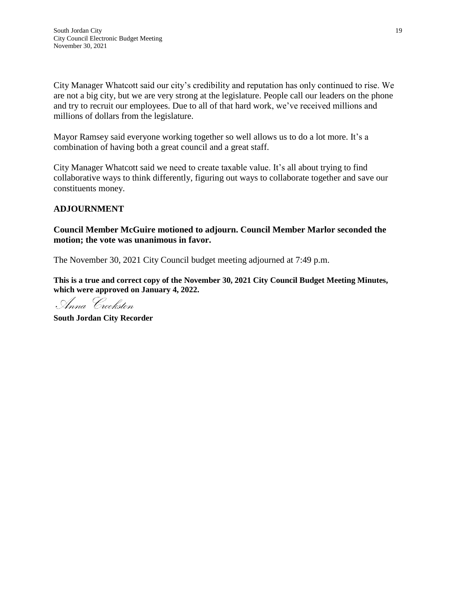City Manager Whatcott said our city's credibility and reputation has only continued to rise. We are not a big city, but we are very strong at the legislature. People call our leaders on the phone and try to recruit our employees. Due to all of that hard work, we've received millions and millions of dollars from the legislature.

Mayor Ramsey said everyone working together so well allows us to do a lot more. It's a combination of having both a great council and a great staff.

City Manager Whatcott said we need to create taxable value. It's all about trying to find collaborative ways to think differently, figuring out ways to collaborate together and save our constituents money.

## **ADJOURNMENT**

## **Council Member McGuire motioned to adjourn. Council Member Marlor seconded the motion; the vote was unanimous in favor.**

The November 30, 2021 City Council budget meeting adjourned at 7:49 p.m.

**This is a true and correct copy of the November 30, 2021 City Council Budget Meeting Minutes, which were approved on January 4, 2022.**

Anna Crookston

**South Jordan City Recorder**